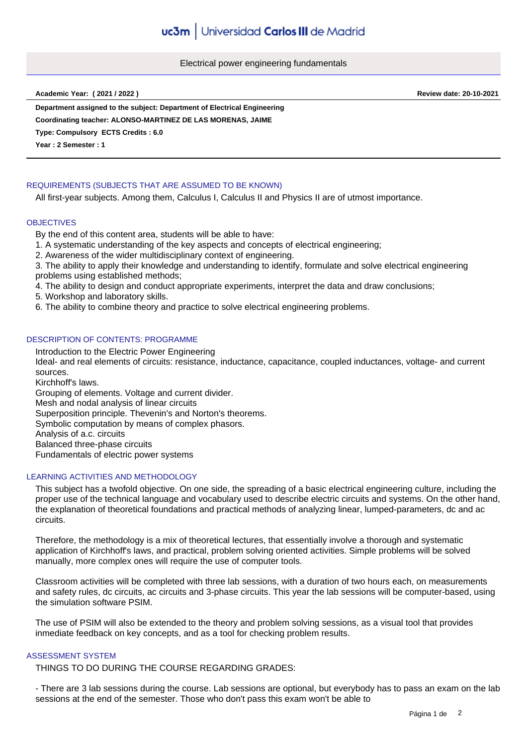Electrical power engineering fundamentals

**Academic Year: ( 2021 / 2022 ) Review date: 20-10-2021**

**Department assigned to the subject: Department of Electrical Engineering**

**Coordinating teacher: ALONSO-MARTINEZ DE LAS MORENAS, JAIME**

**Type: Compulsory ECTS Credits : 6.0**

**Year : 2 Semester : 1**

# REQUIREMENTS (SUBJECTS THAT ARE ASSUMED TO BE KNOWN)

All first-year subjects. Among them, Calculus I, Calculus II and Physics II are of utmost importance.

#### **OBJECTIVES**

By the end of this content area, students will be able to have:

1. A systematic understanding of the key aspects and concepts of electrical engineering;

2. Awareness of the wider multidisciplinary context of engineering.

3. The ability to apply their knowledge and understanding to identify, formulate and solve electrical engineering problems using established methods;

4. The ability to design and conduct appropriate experiments, interpret the data and draw conclusions;

5. Workshop and laboratory skills.

6. The ability to combine theory and practice to solve electrical engineering problems.

### DESCRIPTION OF CONTENTS: PROGRAMME

Introduction to the Electric Power Engineering Ideal- and real elements of circuits: resistance, inductance, capacitance, coupled inductances, voltage- and current sources. Kirchhoff's laws. Grouping of elements. Voltage and current divider. Mesh and nodal analysis of linear circuits Superposition principle. Thevenin's and Norton's theorems. Symbolic computation by means of complex phasors. Analysis of a.c. circuits Balanced three-phase circuits Fundamentals of electric power systems

### LEARNING ACTIVITIES AND METHODOLOGY

This subject has a twofold objective. On one side, the spreading of a basic electrical engineering culture, including the proper use of the technical language and vocabulary used to describe electric circuits and systems. On the other hand, the explanation of theoretical foundations and practical methods of analyzing linear, lumped-parameters, dc and ac circuits.

Therefore, the methodology is a mix of theoretical lectures, that essentially involve a thorough and systematic application of Kirchhoff's laws, and practical, problem solving oriented activities. Simple problems will be solved manually, more complex ones will require the use of computer tools.

Classroom activities will be completed with three lab sessions, with a duration of two hours each, on measurements and safety rules, dc circuits, ac circuits and 3-phase circuits. This year the lab sessions will be computer-based, using the simulation software PSIM.

The use of PSIM will also be extended to the theory and problem solving sessions, as a visual tool that provides inmediate feedback on key concepts, and as a tool for checking problem results.

### ASSESSMENT SYSTEM

THINGS TO DO DURING THE COURSE REGARDING GRADES:

- There are 3 lab sessions during the course. Lab sessions are optional, but everybody has to pass an exam on the lab sessions at the end of the semester. Those who don't pass this exam won't be able to